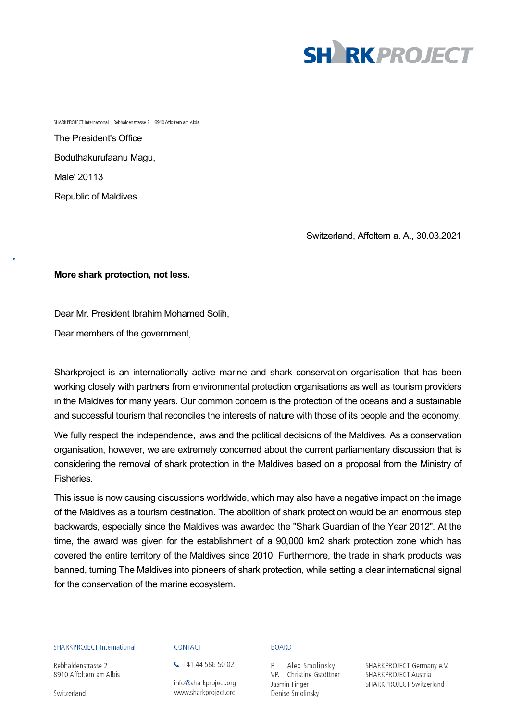

SHARKPROJECT International Rebhaldenstrasse 2 8910 Affoltern am Albis

The President's Office Boduthakurufaanu Magu, Male' 20113 Republic of Maldives

Switzerland, Affoltern a. A., 30.03.2021

# **More shark protection, not less.**

Dear Mr. President Ibrahim Mohamed Solih,

Dear members of the government,

Sharkproject is an internationally active marine and shark conservation organisation that has been working closely with partners from environmental protection organisations as well as tourism providers in the Maldives for many years. Our common concern is the protection of the oceans and a sustainable and successful tourism that reconciles the interests of nature with those of its people and the economy.

We fully respect the independence, laws and the political decisions of the Maldives. As a conservation organisation, however, we are extremely concerned about the current parliamentary discussion that is considering the removal of shark protection in the Maldives based on a proposal from the Ministry of **Fisheries** 

This issue is now causing discussions worldwide, which may also have a negative impact on the image of the Maldives as a tourism destination. The abolition of shark protection would be an enormous step backwards, especially since the Maldives was awarded the "Shark Guardian of the Year 2012". At the time, the award was given for the establishment of a 90,000 km2 shark protection zone which has covered the entire territory of the Maldives since 2010. Furthermore, the trade in shark products was banned, turning The Maldives into pioneers of shark protection, while setting a clear international signal for the conservation of the marine ecosystem.

### **SHARKPROJECT International**

Rebhaldenstrasse 2 8910 Affoltern am Albis

Switzerland

# CONTACT

 $\leftarrow$  +41 44 586 50 02

info@sharkproject.org www.sharkproject.org

#### **BOARD**

P. Alex Smolinsky VP. Christine Gstöttner Jasmin Finger Denise Smolinsky

SHARKPROJECT Germany e.V. SHARKPROJECT Austria SHARKPROJECT Switzerland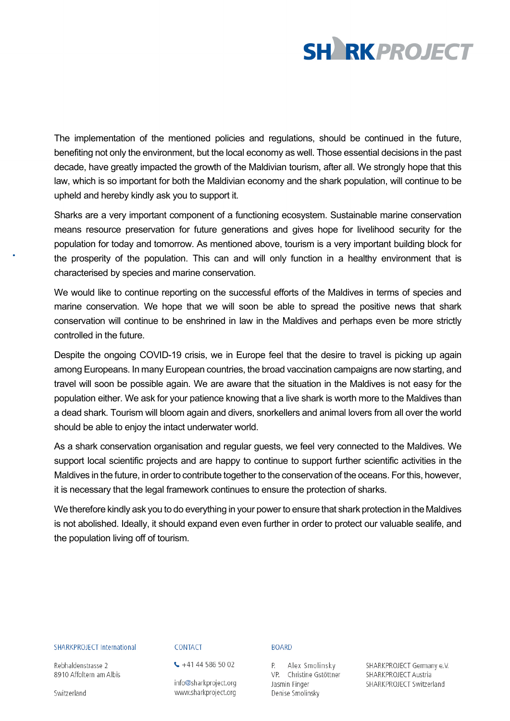

The implementation of the mentioned policies and regulations, should be continued in the future, benefiting not only the environment, but the local economy as well. Those essential decisions in the past decade, have greatly impacted the growth of the Maldivian tourism, after all. We strongly hope that this law, which is so important for both the Maldivian economy and the shark population, will continue to be upheld and hereby kindly ask you to support it.

Sharks are a very important component of a functioning ecosystem. Sustainable marine conservation means resource preservation for future generations and gives hope for livelihood security for the population for today and tomorrow. As mentioned above, tourism is a very important building block for the prosperity of the population. This can and will only function in a healthy environment that is characterised by species and marine conservation.

We would like to continue reporting on the successful efforts of the Maldives in terms of species and marine conservation. We hope that we will soon be able to spread the positive news that shark conservation will continue to be enshrined in law in the Maldives and perhaps even be more strictly controlled in the future.

Despite the ongoing COVID-19 crisis, we in Europe feel that the desire to travel is picking up again among Europeans. In many European countries, the broad vaccination campaigns are now starting, and travel will soon be possible again. We are aware that the situation in the Maldives is not easy for the population either. We ask for your patience knowing that a live shark is worth more to the Maldives than a dead shark. Tourism will bloom again and divers, snorkellers and animal lovers from all over the world should be able to enjoy the intact underwater world.

As a shark conservation organisation and regular guests, we feel very connected to the Maldives. We support local scientific projects and are happy to continue to support further scientific activities in the Maldives in the future, in order to contribute together to the conservation of the oceans. For this, however, it is necessary that the legal framework continues to ensure the protection of sharks.

We therefore kindly ask you to do everything in your power to ensure that shark protection in the Maldives is not abolished. Ideally, it should expand even even further in order to protect our valuable sealife, and the population living off of tourism.

## **SHARKPROJECT International**

Rebhaldenstrasse 2 8910 Affoltern am Albis

Switzerland

# CONTACT

 $\leftarrow$  +41 44 586 50 02

info@sharkproject.org www.sharkproject.org

### **BOARD**

P. Alex Smolinsky VP. Christine Gstöttner Jasmin Finger Denise Smolinsky

SHARKPROJECT Germany e.V. SHARKPROJECT Austria SHARKPROJECT Switzerland